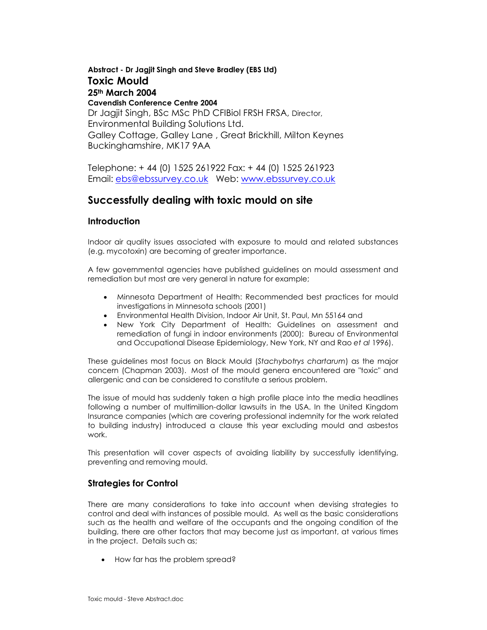Abstract - Dr Jagjit Singh and Steve Bradley (EBS Ltd) Toxic Mould 25th March 2004 Cavendish Conference Centre 2004 Dr Jagjit Singh, BSc MSc PhD CFIBiol FRSH FRSA, Director, Environmental Building Solutions Ltd. Galley Cottage, Galley Lane , Great Brickhill, Milton Keynes Buckinghamshire, MK17 9AA

Telephone: + 44 (0) 1525 261922 Fax: + 44 (0) 1525 261923 Email: ebs@ebssurvey.co.uk Web: www.ebssurvey.co.uk

# Successfully dealing with toxic mould on site

# **Introduction**

Indoor air quality issues associated with exposure to mould and related substances (e.g. mycotoxin) are becoming of greater importance.

A few governmental agencies have published guidelines on mould assessment and remediation but most are very general in nature for example;

- Minnesota Department of Health: Recommended best practices for mould investigations in Minnesota schools (2001)
- Environmental Health Division, Indoor Air Unit, St. Paul, Mn 55164 and
- New York City Department of Health: Guidelines on assessment and remediation of fungi in indoor environments (2000): Bureau of Environmental and Occupational Disease Epidemiology, New York, NY and Rao et al 1996).

These guidelines most focus on Black Mould (Stachybotrys chartarum) as the major concern (Chapman 2003). Most of the mould genera encountered are "toxic" and allergenic and can be considered to constitute a serious problem.

The issue of mould has suddenly taken a high profile place into the media headlines following a number of multimillion-dollar lawsuits in the USA. In the United Kingdom Insurance companies (which are covering professional indemnity for the work related to building industry) introduced a clause this year excluding mould and asbestos work.

This presentation will cover aspects of avoiding liability by successfully identifying, preventing and removing mould.

# Strategies for Control

There are many considerations to take into account when devising strategies to control and deal with instances of possible mould. As well as the basic considerations such as the health and welfare of the occupants and the ongoing condition of the building, there are other factors that may become just as important, at various times in the project. Details such as;

• How far has the problem spread?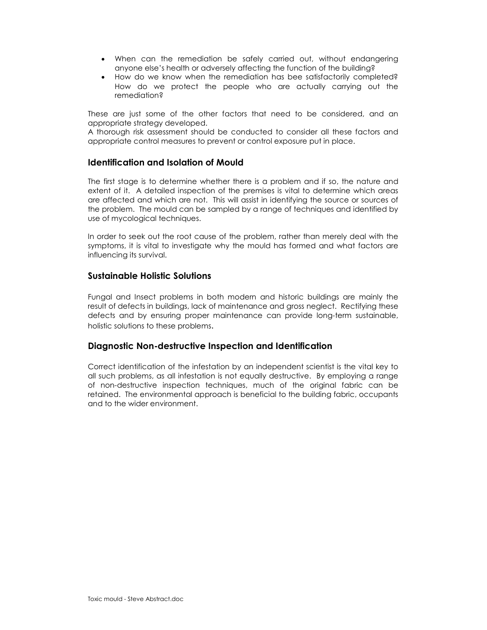- When can the remediation be safely carried out, without endangering anyone else's health or adversely affecting the function of the building?
- How do we know when the remediation has bee satisfactorily completed? How do we protect the people who are actually carrying out the remediation?

These are just some of the other factors that need to be considered, and an appropriate strategy developed.

A thorough risk assessment should be conducted to consider all these factors and appropriate control measures to prevent or control exposure put in place.

## Identification and Isolation of Mould

The first stage is to determine whether there is a problem and if so, the nature and extent of it. A detailed inspection of the premises is vital to determine which areas are affected and which are not. This will assist in identifying the source or sources of the problem. The mould can be sampled by a range of techniques and identified by use of mycological techniques.

In order to seek out the root cause of the problem, rather than merely deal with the symptoms, it is vital to investigate why the mould has formed and what factors are influencing its survival.

#### Sustainable Holistic Solutions

Fungal and Insect problems in both modern and historic buildings are mainly the result of defects in buildings, lack of maintenance and gross neglect. Rectifying these defects and by ensuring proper maintenance can provide long-term sustainable, holistic solutions to these problems.

## Diagnostic Non-destructive Inspection and Identification

Correct identification of the infestation by an independent scientist is the vital key to all such problems, as all infestation is not equally destructive. By employing a range of non-destructive inspection techniques, much of the original fabric can be retained. The environmental approach is beneficial to the building fabric, occupants and to the wider environment.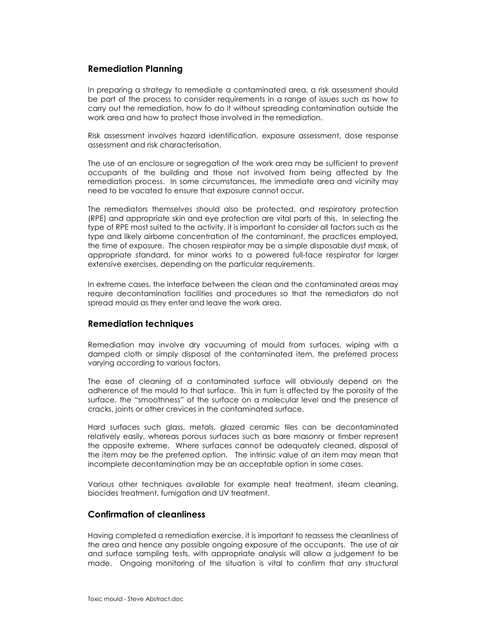## Remediation Planning

In preparing a strategy to remediate a contaminated area, a risk assessment should be part of the process to consider requirements in a range of issues such as how to carry out the remediation, how to do it without spreading contamination outside the work area and how to protect those involved in the remediation.

Risk assessment involves hazard identification, exposure assessment, dose response assessment and risk characterisation.

The use of an enclosure or segregation of the work area may be sufficient to prevent occupants of the building and those not involved from being affected by the remediation process. In some circumstances, the immediate area and vicinity may need to be vacated to ensure that exposure cannot occur.

The remediators themselves should also be protected, and respiratory protection (RPE) and appropriate skin and eye protection are vital parts of this. In selecting the type of RPE most suited to the activity, it is important to consider all factors such as the type and likely airborne concentration of the contaminant, the practices employed, the time of exposure. The chosen respirator may be a simple disposable dust mask, of appropriate standard, for minor works to a powered full-face respirator for larger extensive exercises, depending on the particular requirements.

In extreme cases, the interface between the clean and the contaminated areas may require decontamination facilities and procedures so that the remediators do not spread mould as they enter and leave the work area.

## Remediation techniques

Remediation may involve dry vacuuming of mould from surfaces, wiping with a damped cloth or simply disposal of the contaminated item, the preferred process varying according to various factors.

The ease of cleaning of a contaminated surface will obviously depend on the adherence of the mould to that surface. This in turn is affected by the porosity of the surface, the "smoothness" of the surface on a molecular level and the presence of cracks, joints or other crevices in the contaminated surface.

Hard surfaces such glass, metals, glazed ceramic tiles can be decontaminated relatively easily, whereas porous surfaces such as bare masonry or timber represent the opposite extreme. Where surfaces cannot be adequately cleaned, disposal of the item may be the preferred option. The intrinsic value of an item may mean that incomplete decontamination may be an acceptable option in some cases.

Various other techniques available for example heat treatment, steam cleaning, biocides treatment, fumigation and UV treatment.

## Confirmation of cleanliness

Having completed a remediation exercise, it is important to reassess the cleanliness of the area and hence any possible ongoing exposure of the occupants. The use of air and surface sampling tests, with appropriate analysis will allow a judgement to be made. Ongoing monitoring of the situation is vital to confirm that any structural